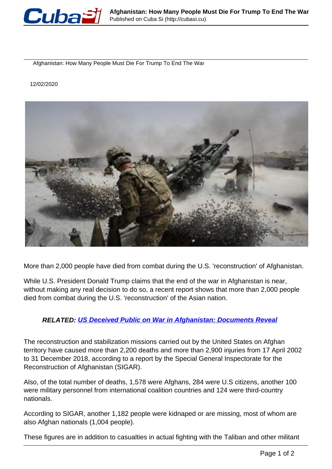

Afghanistan: How Many People Must Die For Trump To End The War

12/02/2020



More than 2,000 people have died from combat during the U.S. 'reconstruction' of Afghanistan.

While U.S. President Donald Trump claims that the end of the war in Afghanistan is near, without making any real decision to do so, a recent report shows that more than 2,000 people died from combat during the U.S. 'reconstruction' of the Asian nation.

## **RELATED: [US Deceived Public on War in Afghanistan: Documents Reveal](https://www.telesurenglish.net/news/Documents-Reveal-The-US-Deceived-Public-on-War-in-Afghanistan-20191209-0009.html)**

The reconstruction and stabilization missions carried out by the United States on Afghan territory have caused more than 2,200 deaths and more than 2,900 injuries from 17 April 2002 to 31 December 2018, according to a report by the Special General Inspectorate for the Reconstruction of Afghanistan (SIGAR).

Also, of the total number of deaths, 1,578 were Afghans, 284 were U.S citizens, another 100 were military personnel from international coalition countries and 124 were third-country nationals.

According to SIGAR, another 1,182 people were kidnaped or are missing, most of whom are also Afghan nationals (1,004 people).

These figures are in addition to casualties in actual fighting with the Taliban and other militant